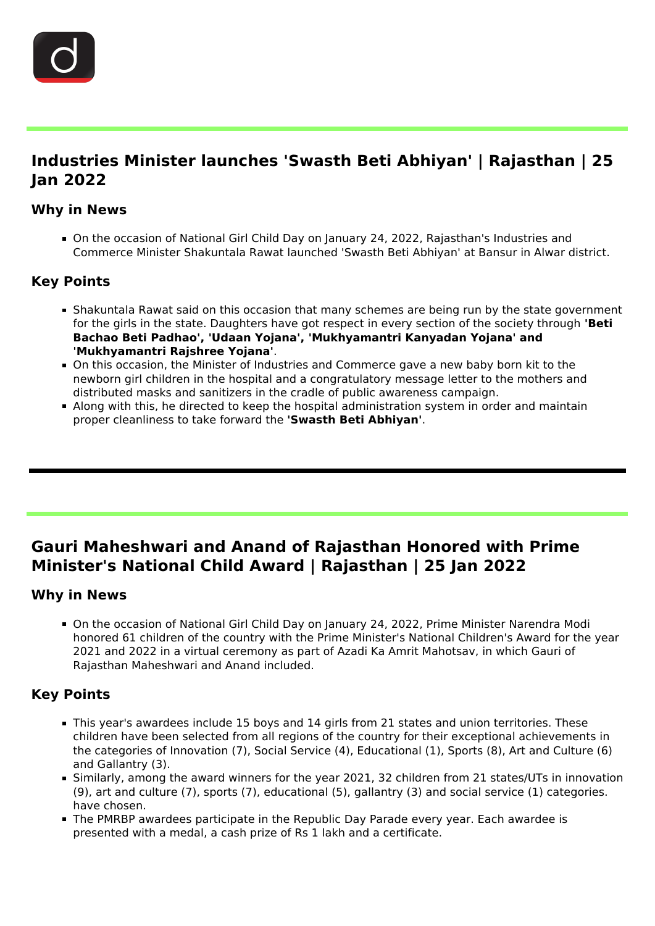

Ĩ

## **Industries Minister launches 'Swasth Beti Abhiyan' | Rajasthan | 25 Jan 2022**

### **Why in News**

On the occasion of National Girl Child Day on January 24, 2022, Rajasthan's Industries and Commerce Minister Shakuntala Rawat launched 'Swasth Beti Abhiyan' at Bansur in Alwar district.

## **Key Points**

- **Shakuntala Rawat said on this occasion that many schemes are being run by the state government** for the girls in the state. Daughters have got respect in every section of the society through **'Beti Bachao Beti Padhao', 'Udaan Yojana', 'Mukhyamantri Kanyadan Yojana' and 'Mukhyamantri Rajshree Yojana'**.
- On this occasion, the Minister of Industries and Commerce gave a new baby born kit to the newborn girl children in the hospital and a congratulatory message letter to the mothers and distributed masks and sanitizers in the cradle of public awareness campaign.
- Along with this, he directed to keep the hospital administration system in order and maintain proper cleanliness to take forward the **'Swasth Beti Abhiyan'**.

# **Gauri Maheshwari and Anand of Rajasthan Honored with Prime Minister's National Child Award | Rajasthan | 25 Jan 2022**

#### **Why in News**

Ĩ

On the occasion of National Girl Child Day on January 24, 2022, Prime Minister Narendra Modi honored 61 children of the country with the Prime Minister's National Children's Award for the year 2021 and 2022 in a virtual ceremony as part of Azadi Ka Amrit Mahotsav, in which Gauri of Rajasthan Maheshwari and Anand included.

### **Key Points**

- This year's awardees include 15 boys and 14 girls from 21 states and union territories. These children have been selected from all regions of the country for their exceptional achievements in the categories of Innovation (7), Social Service (4), Educational (1), Sports (8), Art and Culture (6) and Gallantry (3).
- Similarly, among the award winners for the year 2021, 32 children from 21 states/UTs in innovation (9), art and culture (7), sports (7), educational (5), gallantry (3) and social service (1) categories. have chosen.
- The PMRBP awardees participate in the Republic Day Parade every year. Each awardee is presented with a medal, a cash prize of Rs 1 lakh and a certificate.